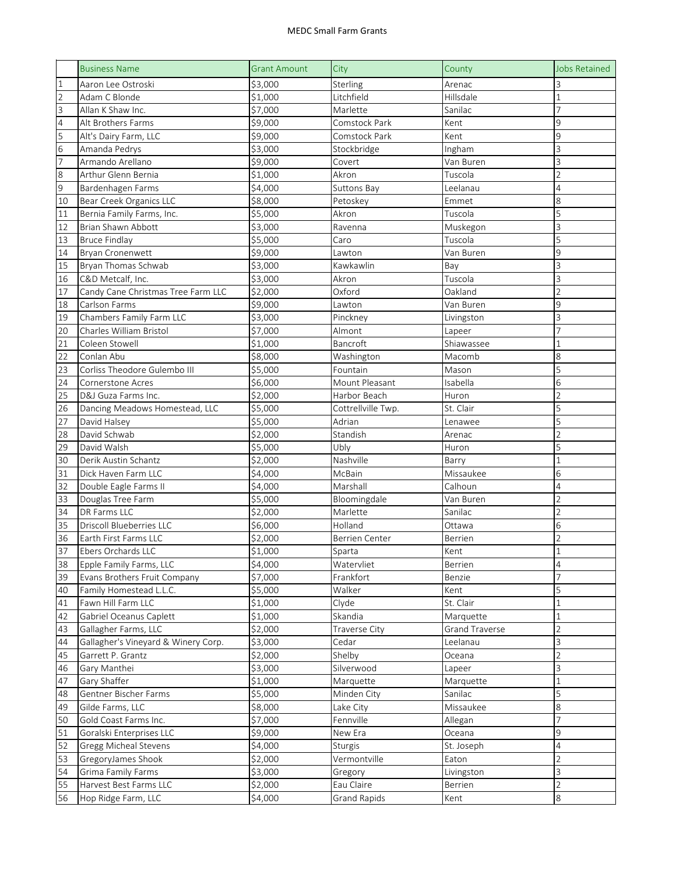## MEDC Small Farm Grants

|                | <b>Business Name</b>                        | <b>Grant Amount</b> | City                  | County          | <b>Jobs Retained</b> |
|----------------|---------------------------------------------|---------------------|-----------------------|-----------------|----------------------|
| $\mathbf{1}$   | Aaron Lee Ostroski                          | \$3,000             | Sterling              | Arenac          | 3                    |
| $\overline{2}$ | Adam C Blonde                               | \$1,000             | Litchfield            | Hillsdale       | $\mathbf{1}$         |
| 3              | Allan K Shaw Inc.                           | \$7,000             | Marlette              | Sanilac         | 7                    |
| 4              | Alt Brothers Farms                          | \$9,000             | Comstock Park         | Kent            | 9                    |
| 5              | Alt's Dairy Farm, LLC                       | \$9,000             | Comstock Park         | Kent            | 9                    |
| 6              | Amanda Pedrys                               | \$3,000             | Stockbridge           | Ingham          | 3                    |
| $\overline{7}$ | Armando Arellano                            | \$9,000             | Covert                | Van Buren       | 3                    |
| $\,8\,$        | Arthur Glenn Bernia                         | \$1,000             | Akron                 | Tuscola         | $\overline{2}$       |
| 9              | Bardenhagen Farms                           | \$4,000             | <b>Suttons Bay</b>    | Leelanau        | 4                    |
| 10             | Bear Creek Organics LLC                     | \$8,000             | Petoskey              | Emmet           | 8                    |
| 11             | Bernia Family Farms, Inc.                   | \$5,000             | Akron                 | Tuscola         | 5                    |
| 12             | Brian Shawn Abbott                          | \$3,000             | Ravenna               | Muskegon        | 3                    |
| 13             | <b>Bruce Findlay</b>                        | \$5,000             | Caro                  | Tuscola         | 5                    |
| 14             | Bryan Cronenwett                            | \$9,000             | Lawton                | Van Buren       | 9                    |
| 15             | Bryan Thomas Schwab                         | \$3,000             | Kawkawlin             | Bay             | 3                    |
| 16             | C&D Metcalf, Inc.                           | \$3,000             | Akron                 | Tuscola         | 3                    |
| 17             | Candy Cane Christmas Tree Farm LLC          | \$2,000             | Oxford                | Oakland         | $\overline{2}$       |
| 18             | Carlson Farms                               | \$9,000             | Lawton                | Van Buren       | 9                    |
| 19             | Chambers Family Farm LLC                    | \$3,000             | Pinckney              | Livingston      | 3                    |
| 20             | Charles William Bristol                     | \$7,000             | Almont                | Lapeer          | $\overline{7}$       |
| 21             | Coleen Stowell                              | \$1,000             | Bancroft              | Shiawassee      | $\mathbf{1}$         |
| 22             | Conlan Abu                                  | \$8,000             | Washington            | Macomb          | 8                    |
| 23             | Corliss Theodore Gulembo III                | \$5,000             | Fountain              | Mason           | 5                    |
| 24             | <b>Cornerstone Acres</b>                    | \$6,000             | Mount Pleasant        | Isabella        | 6                    |
| 25             | D&J Guza Farms Inc.                         | \$2,000             | Harbor Beach          | Huron           | $\overline{2}$       |
| 26             | Dancing Meadows Homestead, LLC              | \$5,000             | Cottrellville Twp.    | St. Clair       | 5                    |
|                | David Halsey                                | \$5,000             | Adrian                |                 | 5                    |
| 27             | David Schwab                                | \$2,000             | Standish              | Lenawee         | $\overline{2}$       |
| 28             | David Walsh                                 | \$5,000             | Ubly                  | Arenac<br>Huron | 5                    |
| 29             |                                             | \$2,000             |                       |                 |                      |
| 30             | Derik Austin Schantz<br>Dick Haven Farm LLC | \$4,000             | Nashville<br>McBain   | Barry           | 1<br>6               |
| 31             |                                             | \$4,000             |                       | Missaukee       |                      |
| 32             | Double Eagle Farms II                       |                     | Marshall              | Calhoun         | 4                    |
| 33             | Douglas Tree Farm                           | \$5,000             | Bloomingdale          | Van Buren       | $\overline{2}$       |
| 34             | DR Farms LLC                                | \$2,000             | Marlette              | Sanilac         | $\overline{2}$       |
| 35             | <b>Driscoll Blueberries LLC</b>             | \$6,000             | Holland               | Ottawa          | 6                    |
| 36             | Earth First Farms LLC                       | \$2,000             | <b>Berrien Center</b> | Berrien         | $\overline{2}$       |
| 37             | Ebers Orchards LLC                          | \$1,000             | Sparta                | Kent            |                      |
| 38             | Epple Family Farms, LLC                     | \$4,000             | Watervliet            | Berrien         | 4                    |
| 39             | Evans Brothers Fruit Company                | \$7,000             | Frankfort             | Benzie          | $\overline{7}$       |
| 40             | Family Homestead L.L.C.                     | \$5,000             | Walker                | Kent            | 5                    |
| 41             | Fawn Hill Farm LLC                          | \$1,000             | Clyde                 | St. Clair       | $\mathbf{1}$         |
| 42             | Gabriel Oceanus Caplett                     | \$1,000             | Skandia               | Marquette       | 1                    |
| 43             | Gallagher Farms, LLC                        | \$2,000             | Traverse City         | Grand Traverse  | $\sqrt{2}$           |
| 44             | Gallagher's Vineyard & Winery Corp.         | \$3,000             | Cedar                 | Leelanau        | 3                    |
| 45             | Garrett P. Grantz                           | \$2,000             | Shelby                | Oceana          | $\sqrt{2}$           |
| 46             | Gary Manthei                                | \$3,000             | Silverwood            | Lapeer          | 3                    |
| 47             | Gary Shaffer                                | \$1,000             | Marquette             | Marquette       | $\mathbf{1}$         |
| 48             | Gentner Bischer Farms                       | \$5,000             | Minden City           | Sanilac         | 5                    |
| 49             | Gilde Farms, LLC                            | \$8,000             | Lake City             | Missaukee       | 8                    |
| 50             | Gold Coast Farms Inc.                       | \$7,000             | Fennville             | Allegan         | 7                    |
| 51             | Goralski Enterprises LLC                    | \$9,000             | New Era               | Oceana          | 9                    |
| 52             | <b>Gregg Micheal Stevens</b>                | \$4,000             | <b>Sturgis</b>        | St. Joseph      | 4                    |
| 53             | GregoryJames Shook                          | \$2,000             | Vermontville          | Eaton           | $\overline{2}$       |
| 54             | Grima Family Farms                          | \$3,000             | Gregory               | Livingston      | 3                    |
| 55             | Harvest Best Farms LLC                      | \$2,000             | Eau Claire            | Berrien         | $\overline{2}$       |
| 56             | Hop Ridge Farm, LLC                         | \$4,000             | <b>Grand Rapids</b>   | Kent            | 8                    |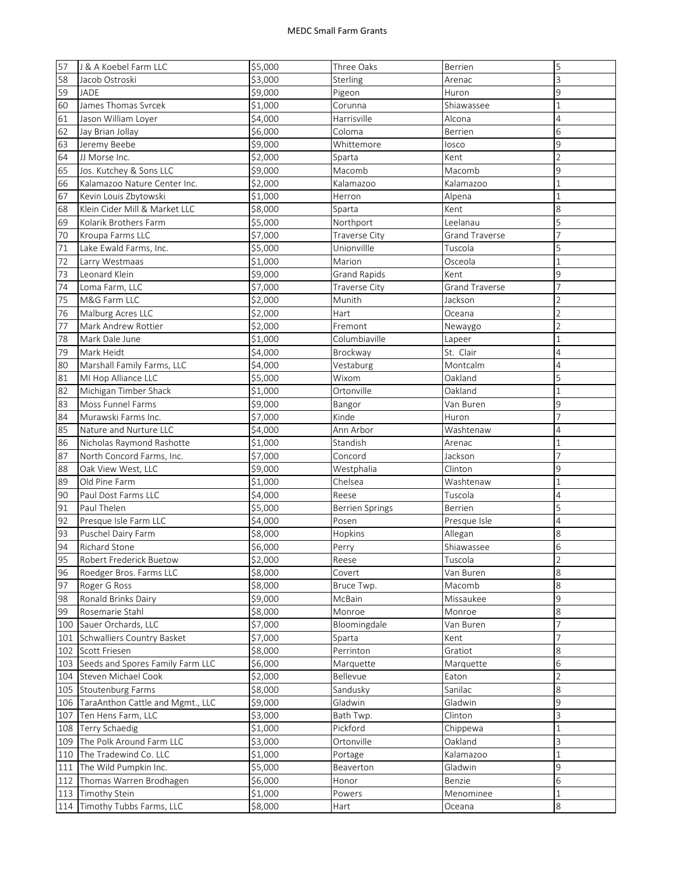| 57      | J & A Koebel Farm LLC                | \$5,000             | Three Oaks             | Berrien               | 5              |
|---------|--------------------------------------|---------------------|------------------------|-----------------------|----------------|
| 58      | Jacob Ostroski                       | \$3,000             | Sterling               | Arenac                | 3              |
| 59      | JADE                                 | \$9,000             | Pigeon                 | Huron                 | 9              |
| 60      | James Thomas Svrcek                  | \$1,000             | Corunna                | Shiawassee            | $\mathbf{1}$   |
| 61      | Jason William Loyer                  | \$4,000             | Harrisville            | Alcona                | 4              |
| 62      | Jay Brian Jollay                     | \$6,000             | Coloma                 | Berrien               | 6              |
| 63      | Jeremy Beebe                         | \$9,000             | Whittemore             | losco                 | 9              |
| 64      | JJ Morse Inc.                        | $\overline{$}2,000$ | Sparta                 | Kent                  | $\overline{2}$ |
| 65      | Jos. Kutchey & Sons LLC              | \$9,000             | Macomb                 | Macomb                | 9              |
| 66      | Kalamazoo Nature Center Inc.         | \$2,000             | Kalamazoo              | Kalamazoo             | 1              |
| 67      | Kevin Louis Zbytowski                | \$1,000             | Herron                 | Alpena                | 1              |
| 68      | Klein Cider Mill & Market LLC        | \$8,000             | Sparta                 | Kent                  | 8              |
| 69      | Kolarik Brothers Farm                | \$5,000             | Northport              | Leelanau              | 5              |
| 70      | Kroupa Farms LLC                     | \$7,000             | <b>Traverse City</b>   | <b>Grand Traverse</b> | 7              |
| 71      | Lake Ewald Farms, Inc.               | \$5,000             | Unionvillle            | Tuscola               | 5              |
| 72      | Larry Westmaas                       | \$1,000             | Marion                 | Osceola               | $\mathbf{1}$   |
| 73      | Leonard Klein                        | \$9,000             | <b>Grand Rapids</b>    | Kent                  | 9              |
| 74      | Loma Farm, LLC                       | \$7,000             | Traverse City          | <b>Grand Traverse</b> |                |
| 75      | M&G Farm LLC                         | \$2,000             | Munith                 | Jackson               | $\overline{2}$ |
| 76      | Malburg Acres LLC                    | \$2,000             | Hart                   | Oceana                | $\overline{2}$ |
| 77      | Mark Andrew Rottier                  | \$2,000             | Fremont                | Newaygo               | $\overline{2}$ |
| 78      | Mark Dale June                       | \$1,000             | Columbiaville          | Lapeer                | 1              |
| 79      | Mark Heidt                           | \$4,000             | Brockway               | St. Clair             | $\overline{4}$ |
| 80      | Marshall Family Farms, LLC           | \$4,000             | Vestaburg              | Montcalm              | 4              |
| 81      | MI Hop Alliance LLC                  | \$5,000             | Wixom                  | Oakland               | 5              |
| 82      | Michigan Timber Shack                | \$1,000             | Ortonville             | Oakland               | 1              |
| 83      | Moss Funnel Farms                    | \$9,000             | Bangor                 | Van Buren             | 9              |
| 84      | Murawski Farms Inc.                  | \$7,000             | Kinde                  | Huron                 | 7              |
| 85      | Nature and Nurture LLC               | \$4,000             | Ann Arbor              | Washtenaw             | 4              |
| 86      | Nicholas Raymond Rashotte            | \$1,000             | Standish               | Arenac                | 1              |
| 87      | North Concord Farms, Inc.            | \$7,000             | Concord                | Jackson               |                |
| 88      | Oak View West, LLC                   | \$9,000             | Westphalia             | Clinton               | 9              |
| 89      | Old Pine Farm                        | \$1,000             | Chelsea                | Washtenaw             | 1              |
| 90      | Paul Dost Farms LLC                  | \$4,000             | Reese                  | Tuscola               | 4              |
| 91      | Paul Thelen                          | \$5,000             | <b>Berrien Springs</b> | Berrien               | 5              |
| 92      | Presque Isle Farm LLC                | \$4,000             | Posen                  | Presque Isle          | 4              |
| 93      | Puschel Dairy Farm                   | \$8,000             | Hopkins                | Allegan               | 8              |
| 94      | <b>Richard Stone</b>                 | \$6,000             | Perry                  | Shiawassee            | 6              |
| 95      | <b>Robert Frederick Buetow</b>       | \$2,000             | Reese                  | Tuscola               | $\overline{2}$ |
| 96      | Roedger Bros. Farms LLC              | \$8,000             | Covert                 | Van Buren             | 8              |
| 97      | Roger G Ross                         | \$8,000             | Bruce Twp.             | Macomb                | 8              |
| 98      | Ronald Brinks Dairy                  | \$9,000             | McBain                 | Missaukee             | 9              |
| 99      | Rosemarie Stahl                      | \$8,000             | Monroe                 | Monroe                | 8              |
| 100     | Sauer Orchards, LLC                  | \$7,000             | Bloomingdale           | Van Buren             | 7              |
| 101     | Schwalliers Country Basket           | \$7,000             | Sparta                 | Kent                  | 7              |
|         | 102 Scott Friesen                    | \$8,000             | Perrinton              | Gratiot               | 8              |
|         | 103 Seeds and Spores Family Farm LLC | \$6,000             | Marquette              | Marquette             | 6              |
|         | 104 Steven Michael Cook              | \$2,000             | Bellevue               | Eaton                 | $\overline{2}$ |
|         | 105 Stoutenburg Farms                | \$8,000             | Sandusky               | Sanilac               | 8              |
| 106     | TaraAnthon Cattle and Mgmt., LLC     | \$9,000             | Gladwin                | Gladwin               | 9              |
| 107     | Ten Hens Farm, LLC                   | \$3,000             | Bath Twp.              | Clinton               | 3              |
| 108     | Terry Schaedig                       | \$1,000             | Pickford               | Chippewa              | 1              |
| 109     | The Polk Around Farm LLC             | \$3,000             | Ortonville             | Oakland               | 3              |
| 110     | The Tradewind Co. LLC                | \$1,000             | Portage                | Kalamazoo             | 1              |
| $111\,$ | The Wild Pumpkin Inc.                | \$5,000             | Beaverton              | Gladwin               | 9              |
| 112     | Thomas Warren Brodhagen              | \$6,000             | Honor                  | Benzie                | 6              |
|         | 113 Timothy Stein                    | \$1,000             | Powers                 | Menominee             | 1              |
|         | 114 Timothy Tubbs Farms, LLC         | \$8,000             | Hart                   | Oceana                | 8              |
|         |                                      |                     |                        |                       |                |